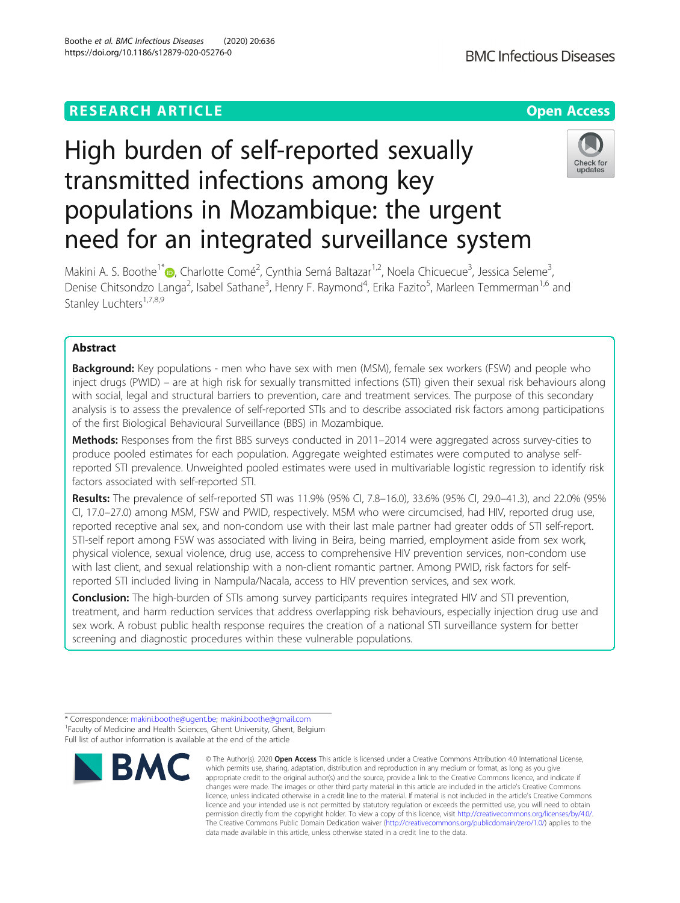# **RESEARCH ARTICLE Example 2014 12:30 The Contract of Contract ACCESS**

# High burden of self-reported sexually transmitted infections among key populations in Mozambique: the urgent need for an integrated surveillance system

Makini A. S. Boothe<sup>1[\\*](http://orcid.org/0000-0002-5362-5106)</sup>®, Charlotte Comé<sup>2</sup>, Cynthia Semá Baltazar<sup>1,2</sup>, Noela Chicuecue<sup>3</sup>, Jessica Seleme<sup>3</sup> , Denise Chitsondzo Langa<sup>2</sup>, Isabel Sathane<sup>3</sup>, Henry F. Raymond<sup>4</sup>, Erika Fazito<sup>5</sup>, Marleen Temmerman<sup>1,6</sup> and Stanley Luchters<sup>1,7,8,9</sup>

# Abstract

**Background:** Key populations - men who have sex with men (MSM), female sex workers (FSW) and people who inject drugs (PWID) – are at high risk for sexually transmitted infections (STI) given their sexual risk behaviours along with social, legal and structural barriers to prevention, care and treatment services. The purpose of this secondary analysis is to assess the prevalence of self-reported STIs and to describe associated risk factors among participations of the first Biological Behavioural Surveillance (BBS) in Mozambique.

Methods: Responses from the first BBS surveys conducted in 2011–2014 were aggregated across survey-cities to produce pooled estimates for each population. Aggregate weighted estimates were computed to analyse selfreported STI prevalence. Unweighted pooled estimates were used in multivariable logistic regression to identify risk factors associated with self-reported STI.

Results: The prevalence of self-reported STI was 11.9% (95% CI, 7.8–16.0), 33.6% (95% CI, 29.0–41.3), and 22.0% (95% CI, 17.0–27.0) among MSM, FSW and PWID, respectively. MSM who were circumcised, had HIV, reported drug use, reported receptive anal sex, and non-condom use with their last male partner had greater odds of STI self-report. STI-self report among FSW was associated with living in Beira, being married, employment aside from sex work, physical violence, sexual violence, drug use, access to comprehensive HIV prevention services, non-condom use with last client, and sexual relationship with a non-client romantic partner. Among PWID, risk factors for selfreported STI included living in Nampula/Nacala, access to HIV prevention services, and sex work.

Conclusion: The high-burden of STIs among survey participants requires integrated HIV and STI prevention, treatment, and harm reduction services that address overlapping risk behaviours, especially injection drug use and sex work. A robust public health response requires the creation of a national STI surveillance system for better screening and diagnostic procedures within these vulnerable populations.



<sup>©</sup> The Author(s), 2020 **Open Access** This article is licensed under a Creative Commons Attribution 4.0 International License, which permits use, sharing, adaptation, distribution and reproduction in any medium or format, as long as you give appropriate credit to the original author(s) and the source, provide a link to the Creative Commons licence, and indicate if changes were made. The images or other third party material in this article are included in the article's Creative Commons licence, unless indicated otherwise in a credit line to the material. If material is not included in the article's Creative Commons licence and your intended use is not permitted by statutory regulation or exceeds the permitted use, you will need to obtain permission directly from the copyright holder. To view a copy of this licence, visit [http://creativecommons.org/licenses/by/4.0/.](http://creativecommons.org/licenses/by/4.0/) The Creative Commons Public Domain Dedication waiver [\(http://creativecommons.org/publicdomain/zero/1.0/](http://creativecommons.org/publicdomain/zero/1.0/)) applies to the data made available in this article, unless otherwise stated in a credit line to the data.





<sup>\*</sup> Correspondence: [makini.boothe@ugent.be;](mailto:makini.boothe@ugent.be) [makini.boothe@gmail.com](mailto:makini.boothe@gmail.com) <sup>1</sup> <sup>1</sup> Faculty of Medicine and Health Sciences, Ghent University, Ghent, Belgium Full list of author information is available at the end of the article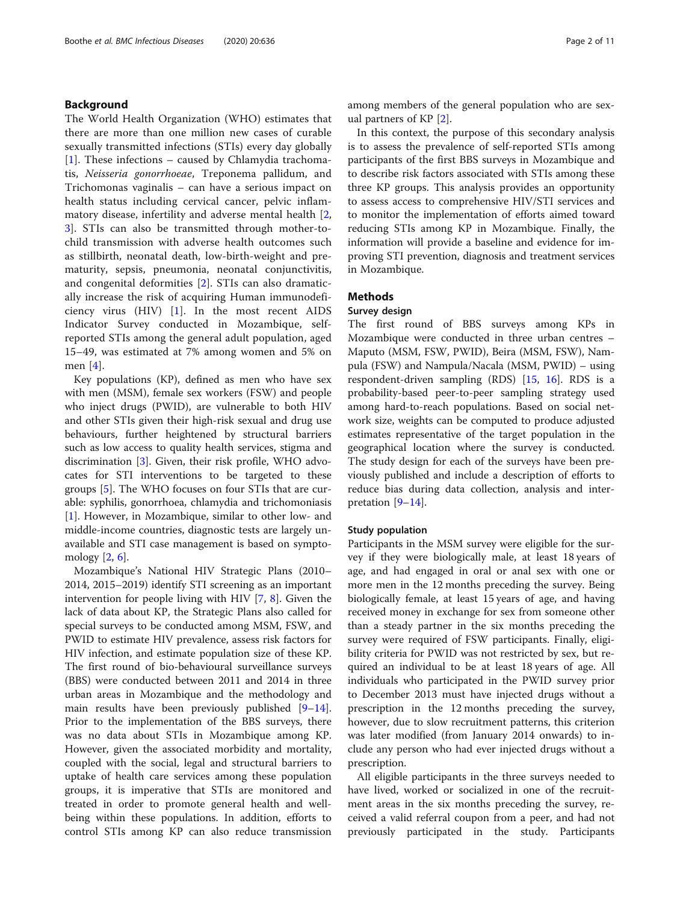# Background

The World Health Organization (WHO) estimates that there are more than one million new cases of curable sexually transmitted infections (STIs) every day globally [[1\]](#page-10-0). These infections – caused by Chlamydia trachomatis, Neisseria gonorrhoeae, Treponema pallidum, and Trichomonas vaginalis – can have a serious impact on health status including cervical cancer, pelvic inflammatory disease, infertility and adverse mental health [\[2](#page-10-0), [3\]](#page-10-0). STIs can also be transmitted through mother-tochild transmission with adverse health outcomes such as stillbirth, neonatal death, low-birth-weight and prematurity, sepsis, pneumonia, neonatal conjunctivitis, and congenital deformities [[2\]](#page-10-0). STIs can also dramatically increase the risk of acquiring Human immunodeficiency virus (HIV) [[1](#page-10-0)]. In the most recent AIDS Indicator Survey conducted in Mozambique, selfreported STIs among the general adult population, aged 15–49, was estimated at 7% among women and 5% on men [\[4](#page-10-0)].

Key populations (KP), defined as men who have sex with men (MSM), female sex workers (FSW) and people who inject drugs (PWID), are vulnerable to both HIV and other STIs given their high-risk sexual and drug use behaviours, further heightened by structural barriers such as low access to quality health services, stigma and discrimination [\[3](#page-10-0)]. Given, their risk profile, WHO advocates for STI interventions to be targeted to these groups [[5\]](#page-10-0). The WHO focuses on four STIs that are curable: syphilis, gonorrhoea, chlamydia and trichomoniasis [[1\]](#page-10-0). However, in Mozambique, similar to other low- and middle-income countries, diagnostic tests are largely unavailable and STI case management is based on symptomology [[2,](#page-10-0) [6\]](#page-10-0).

Mozambique's National HIV Strategic Plans (2010– 2014, 2015–2019) identify STI screening as an important intervention for people living with HIV [\[7](#page-10-0), [8\]](#page-10-0). Given the lack of data about KP, the Strategic Plans also called for special surveys to be conducted among MSM, FSW, and PWID to estimate HIV prevalence, assess risk factors for HIV infection, and estimate population size of these KP. The first round of bio-behavioural surveillance surveys (BBS) were conducted between 2011 and 2014 in three urban areas in Mozambique and the methodology and main results have been previously published [[9](#page-10-0)–[14](#page-10-0)]. Prior to the implementation of the BBS surveys, there was no data about STIs in Mozambique among KP. However, given the associated morbidity and mortality, coupled with the social, legal and structural barriers to uptake of health care services among these population groups, it is imperative that STIs are monitored and treated in order to promote general health and wellbeing within these populations. In addition, efforts to control STIs among KP can also reduce transmission among members of the general population who are sexual partners of KP [[2\]](#page-10-0).

In this context, the purpose of this secondary analysis is to assess the prevalence of self-reported STIs among participants of the first BBS surveys in Mozambique and to describe risk factors associated with STIs among these three KP groups. This analysis provides an opportunity to assess access to comprehensive HIV/STI services and to monitor the implementation of efforts aimed toward reducing STIs among KP in Mozambique. Finally, the information will provide a baseline and evidence for improving STI prevention, diagnosis and treatment services in Mozambique.

# Methods

# Survey design

The first round of BBS surveys among KPs in Mozambique were conducted in three urban centres – Maputo (MSM, FSW, PWID), Beira (MSM, FSW), Nampula (FSW) and Nampula/Nacala (MSM, PWID) – using respondent-driven sampling (RDS) [[15,](#page-10-0) [16\]](#page-10-0). RDS is a probability-based peer-to-peer sampling strategy used among hard-to-reach populations. Based on social network size, weights can be computed to produce adjusted estimates representative of the target population in the geographical location where the survey is conducted. The study design for each of the surveys have been previously published and include a description of efforts to reduce bias during data collection, analysis and inter-pretation [[9](#page-10-0)–[14\]](#page-10-0).

## Study population

Participants in the MSM survey were eligible for the survey if they were biologically male, at least 18 years of age, and had engaged in oral or anal sex with one or more men in the 12 months preceding the survey. Being biologically female, at least 15 years of age, and having received money in exchange for sex from someone other than a steady partner in the six months preceding the survey were required of FSW participants. Finally, eligibility criteria for PWID was not restricted by sex, but required an individual to be at least 18 years of age. All individuals who participated in the PWID survey prior to December 2013 must have injected drugs without a prescription in the 12 months preceding the survey, however, due to slow recruitment patterns, this criterion was later modified (from January 2014 onwards) to include any person who had ever injected drugs without a prescription.

All eligible participants in the three surveys needed to have lived, worked or socialized in one of the recruitment areas in the six months preceding the survey, received a valid referral coupon from a peer, and had not previously participated in the study. Participants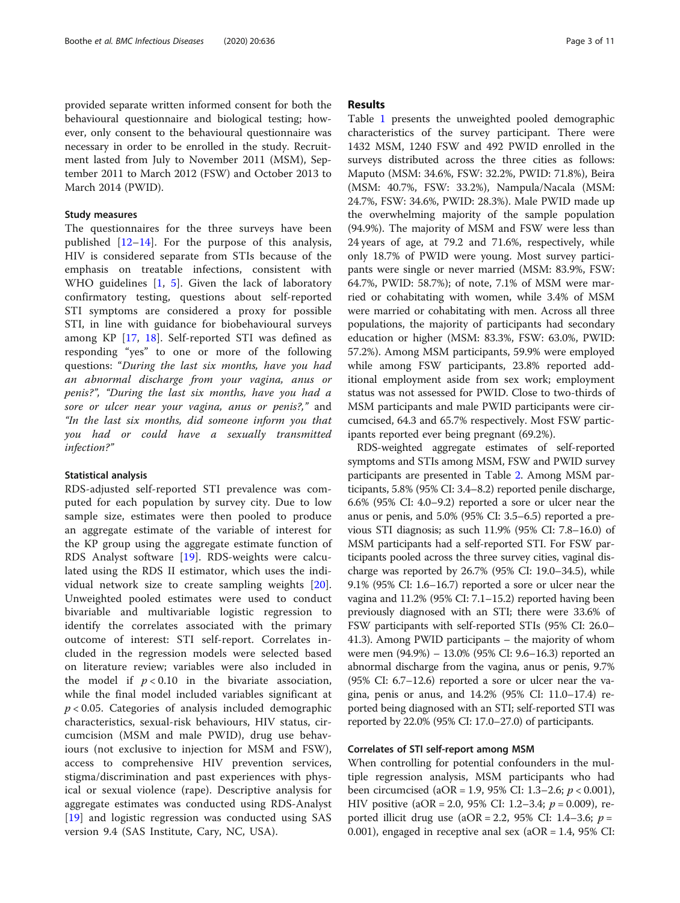provided separate written informed consent for both the behavioural questionnaire and biological testing; however, only consent to the behavioural questionnaire was necessary in order to be enrolled in the study. Recruitment lasted from July to November 2011 (MSM), September 2011 to March 2012 (FSW) and October 2013 to March 2014 (PWID).

# Study measures

The questionnaires for the three surveys have been published [[12](#page-10-0)–[14](#page-10-0)]. For the purpose of this analysis, HIV is considered separate from STIs because of the emphasis on treatable infections, consistent with WHO guidelines [\[1](#page-10-0), [5\]](#page-10-0). Given the lack of laboratory confirmatory testing, questions about self-reported STI symptoms are considered a proxy for possible STI, in line with guidance for biobehavioural surveys among KP [\[17](#page-10-0), [18](#page-10-0)]. Self-reported STI was defined as responding "yes" to one or more of the following questions: "During the last six months, have you had an abnormal discharge from your vagina, anus or penis?", "During the last six months, have you had a sore or ulcer near your vagina, anus or penis?," and "In the last six months, did someone inform you that you had or could have a sexually transmitted infection?"

# Statistical analysis

RDS-adjusted self-reported STI prevalence was computed for each population by survey city. Due to low sample size, estimates were then pooled to produce an aggregate estimate of the variable of interest for the KP group using the aggregate estimate function of RDS Analyst software [[19\]](#page-10-0). RDS-weights were calculated using the RDS II estimator, which uses the individual network size to create sampling weights [\[20](#page-10-0)]. Unweighted pooled estimates were used to conduct bivariable and multivariable logistic regression to identify the correlates associated with the primary outcome of interest: STI self-report. Correlates included in the regression models were selected based on literature review; variables were also included in the model if  $p < 0.10$  in the bivariate association, while the final model included variables significant at  $p < 0.05$ . Categories of analysis included demographic characteristics, sexual-risk behaviours, HIV status, circumcision (MSM and male PWID), drug use behaviours (not exclusive to injection for MSM and FSW), access to comprehensive HIV prevention services, stigma/discrimination and past experiences with physical or sexual violence (rape). Descriptive analysis for aggregate estimates was conducted using RDS-Analyst [[19\]](#page-10-0) and logistic regression was conducted using SAS version 9.4 (SAS Institute, Cary, NC, USA).

# Results

Table [1](#page-3-0) presents the unweighted pooled demographic characteristics of the survey participant. There were 1432 MSM, 1240 FSW and 492 PWID enrolled in the surveys distributed across the three cities as follows: Maputo (MSM: 34.6%, FSW: 32.2%, PWID: 71.8%), Beira (MSM: 40.7%, FSW: 33.2%), Nampula/Nacala (MSM: 24.7%, FSW: 34.6%, PWID: 28.3%). Male PWID made up the overwhelming majority of the sample population (94.9%). The majority of MSM and FSW were less than 24 years of age, at 79.2 and 71.6%, respectively, while only 18.7% of PWID were young. Most survey participants were single or never married (MSM: 83.9%, FSW: 64.7%, PWID: 58.7%); of note, 7.1% of MSM were married or cohabitating with women, while 3.4% of MSM were married or cohabitating with men. Across all three populations, the majority of participants had secondary education or higher (MSM: 83.3%, FSW: 63.0%, PWID: 57.2%). Among MSM participants, 59.9% were employed while among FSW participants, 23.8% reported additional employment aside from sex work; employment status was not assessed for PWID. Close to two-thirds of MSM participants and male PWID participants were circumcised, 64.3 and 65.7% respectively. Most FSW participants reported ever being pregnant (69.2%).

RDS-weighted aggregate estimates of self-reported symptoms and STIs among MSM, FSW and PWID survey participants are presented in Table [2](#page-4-0). Among MSM participants, 5.8% (95% CI: 3.4–8.2) reported penile discharge, 6.6% (95% CI: 4.0–9.2) reported a sore or ulcer near the anus or penis, and 5.0% (95% CI: 3.5–6.5) reported a previous STI diagnosis; as such 11.9% (95% CI: 7.8–16.0) of MSM participants had a self-reported STI. For FSW participants pooled across the three survey cities, vaginal discharge was reported by 26.7% (95% CI: 19.0–34.5), while 9.1% (95% CI: 1.6–16.7) reported a sore or ulcer near the vagina and 11.2% (95% CI: 7.1–15.2) reported having been previously diagnosed with an STI; there were 33.6% of FSW participants with self-reported STIs (95% CI: 26.0– 41.3). Among PWID participants – the majority of whom were men (94.9%) – 13.0% (95% CI: 9.6–16.3) reported an abnormal discharge from the vagina, anus or penis, 9.7% (95% CI: 6.7–12.6) reported a sore or ulcer near the vagina, penis or anus, and 14.2% (95% CI: 11.0–17.4) reported being diagnosed with an STI; self-reported STI was reported by 22.0% (95% CI: 17.0–27.0) of participants.

# Correlates of STI self-report among MSM

When controlling for potential confounders in the multiple regression analysis, MSM participants who had been circumcised (aOR = 1.9, 95% CI: 1.3–2.6;  $p < 0.001$ ), HIV positive (aOR = 2.0, 95% CI: 1.2–3.4;  $p = 0.009$ ), reported illicit drug use (aOR = 2.2, 95% CI: 1.4–3.6;  $p =$ 0.001), engaged in receptive anal sex ( $aOR = 1.4$ , 95% CI: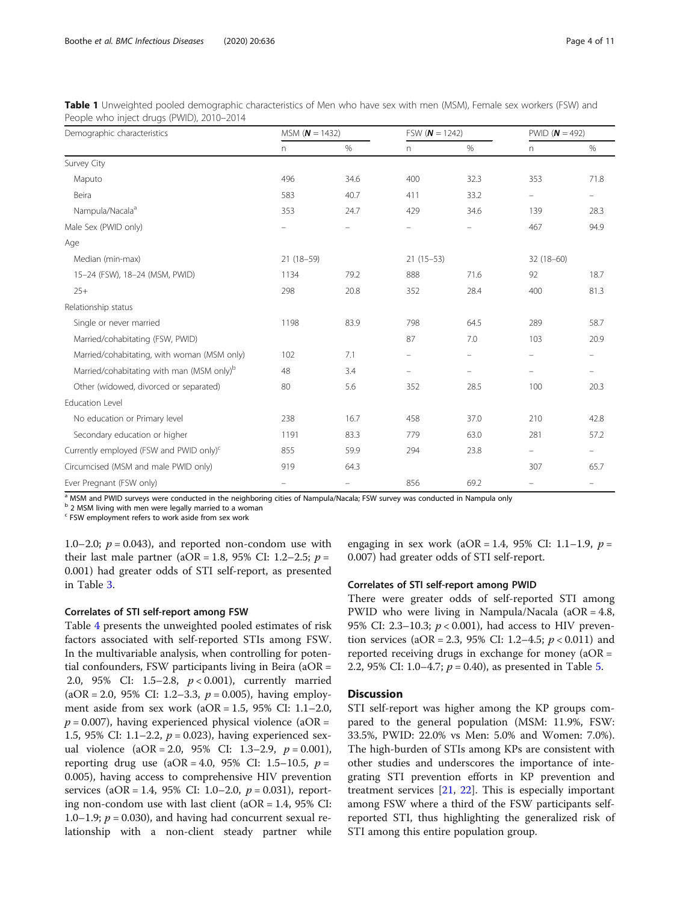<span id="page-3-0"></span>

| Table 1 Unweighted pooled demographic characteristics of Men who have sex with men (MSM), Female sex workers (FSW) and |  |  |
|------------------------------------------------------------------------------------------------------------------------|--|--|
| People who inject drugs (PWID), 2010-2014                                                                              |  |  |

| Demographic characteristics                           | MSM ( $N = 1432$ ) |      | FSW ( $N = 1242$ )       |                   | PWID $(N = 492)$               |                          |
|-------------------------------------------------------|--------------------|------|--------------------------|-------------------|--------------------------------|--------------------------|
|                                                       | n                  | $\%$ | n                        | $\%$              | n                              | $\%$                     |
| Survey City                                           |                    |      |                          |                   |                                |                          |
| Maputo                                                | 496                | 34.6 | 400                      | 32.3              | 353                            | 71.8                     |
| Beira                                                 | 583                | 40.7 | 411                      | 33.2              | -                              | $\overline{\phantom{m}}$ |
| Nampula/Nacala <sup>a</sup>                           | 353                | 24.7 | 429                      | 34.6              | 139                            | 28.3                     |
| Male Sex (PWID only)                                  |                    |      |                          |                   | 467                            | 94.9                     |
| Age                                                   |                    |      |                          |                   |                                |                          |
| Median (min-max)                                      | $21(18-59)$        |      | $21(15-53)$              |                   | $32(18-60)$                    |                          |
| 15-24 (FSW), 18-24 (MSM, PWID)                        | 1134               | 79.2 | 888                      | 71.6              | 92                             | 18.7                     |
| $25+$                                                 | 298                | 20.8 | 352                      | 28.4              | 400                            | 81.3                     |
| Relationship status                                   |                    |      |                          |                   |                                |                          |
| Single or never married                               | 1198               | 83.9 | 798                      | 64.5              | 289                            | 58.7                     |
| Married/cohabitating (FSW, PWID)                      |                    |      | 87                       | 7.0               | 103                            | 20.9                     |
| Married/cohabitating, with woman (MSM only)           | 102                | 7.1  | $\overline{\phantom{0}}$ | -                 | $\qquad \qquad \longleftarrow$ |                          |
| Married/cohabitating with man (MSM only) <sup>b</sup> | 48                 | 3.4  | $\qquad \qquad -$        | $\qquad \qquad -$ |                                |                          |
| Other (widowed, divorced or separated)                | 80                 | 5.6  | 352                      | 28.5              | 100                            | 20.3                     |
| Education Level                                       |                    |      |                          |                   |                                |                          |
| No education or Primary level                         | 238                | 16.7 | 458                      | 37.0              | 210                            | 42.8                     |
| Secondary education or higher                         | 1191               | 83.3 | 779                      | 63.0              | 281                            | 57.2                     |
| Currently employed (FSW and PWID only) <sup>c</sup>   | 855                | 59.9 | 294                      | 23.8              | -                              | $\overline{\phantom{0}}$ |
| Circumcised (MSM and male PWID only)                  | 919                | 64.3 |                          |                   | 307                            | 65.7                     |
| Ever Pregnant (FSW only)                              |                    |      | 856                      | 69.2              |                                |                          |

a MSM and PWID surveys were conducted in the neighboring cities of Nampula/Nacala; FSW survey was conducted in Nampula only

 $<sup>b</sup>$  2 MSM living with men were legally married to a woman</sup>

<sup>c</sup> FSW employment refers to work aside from sex work

1.0–2.0;  $p = 0.043$ ), and reported non-condom use with their last male partner (aOR = 1.8, 95% CI: 1.2–2.5;  $p =$ 0.001) had greater odds of STI self-report, as presented in Table [3](#page-5-0).

#### Correlates of STI self-report among FSW

Table [4](#page-7-0) presents the unweighted pooled estimates of risk factors associated with self-reported STIs among FSW. In the multivariable analysis, when controlling for potential confounders, FSW participants living in Beira (aOR = 2.0, 95% CI: 1.5–2.8, p < 0.001), currently married  $(aOR = 2.0, 95\% \text{ CI: } 1.2-3.3, p = 0.005)$ , having employment aside from sex work (aOR = 1.5, 95% CI: 1.1–2.0,  $p = 0.007$ ), having experienced physical violence (aOR = 1.5, 95% CI: 1.1–2.2,  $p = 0.023$ ), having experienced sexual violence  $(aOR = 2.0, 95\% \text{ CI: } 1.3-2.9, p = 0.001),$ reporting drug use  $(aOR = 4.0, 95\% \text{ CI: } 1.5-10.5, p =$ 0.005), having access to comprehensive HIV prevention services (aOR = 1.4, 95% CI: 1.0–2.0,  $p = 0.031$ ), reporting non-condom use with last client  $(aOR = 1.4, 95\% \text{ CI:})$ 1.0–1.9;  $p = 0.030$ , and having had concurrent sexual relationship with a non-client steady partner while

engaging in sex work (aOR = 1.4, 95% CI: 1.1–1.9,  $p =$ 0.007) had greater odds of STI self-report.

# Correlates of STI self-report among PWID

There were greater odds of self-reported STI among PWID who were living in Nampula/Nacala (aOR = 4.8, 95% CI: 2.3–10.3;  $p < 0.001$ ), had access to HIV prevention services (aOR = 2.3, 95% CI: 1.2–4.5;  $p < 0.011$ ) and reported receiving drugs in exchange for money  $(aOR =$ 2.2, 95% CI: 1.0–4.7;  $p = 0.40$ ), as presented in Table [5.](#page-8-0)

### **Discussion**

STI self-report was higher among the KP groups compared to the general population (MSM: 11.9%, FSW: 33.5%, PWID: 22.0% vs Men: 5.0% and Women: 7.0%). The high-burden of STIs among KPs are consistent with other studies and underscores the importance of integrating STI prevention efforts in KP prevention and treatment services  $[21, 22]$  $[21, 22]$  $[21, 22]$  $[21, 22]$ . This is especially important among FSW where a third of the FSW participants selfreported STI, thus highlighting the generalized risk of STI among this entire population group.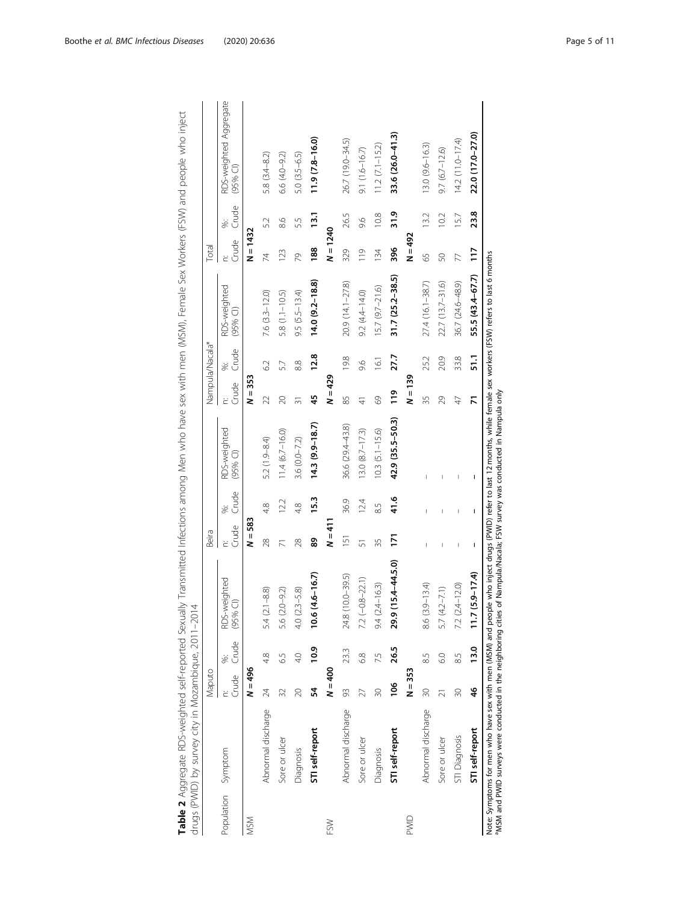|                    |                    | Maputo         |                   |                                            | Beira            |             |                           |                | Nampula/Nacala* |                            | Total          |             |                                      |
|--------------------|--------------------|----------------|-------------------|--------------------------------------------|------------------|-------------|---------------------------|----------------|-----------------|----------------------------|----------------|-------------|--------------------------------------|
| Population Symptom |                    | Ë              | Crude Crude<br>%: | RDS-weighted<br>$\widehat{\sigma}$<br>(95% | Crude            | Crude<br>%: | RDS-weighted<br>$(95%$ Cl | Crude          | Crude<br>Š.     | RDS-weighted<br>$(95%$ CI) | Crude          | Crude<br>%: | RDS-weighted Aggregate<br>$(95%$ Cl) |
| <b>MSM</b>         |                    | $N = 496$      |                   |                                            | $N = 583$        |             |                           | $N = 353$      |                 |                            | $N = 1432$     |             |                                      |
|                    | Abnormal discharge | 24             | 4.8               | $5.4(2.1 - 8.8)$                           | 28               | 4.8         | $5.2(1.9 - 8.4)$          | 22             | G2              | $7.6$ $(3.3 - 12.0)$       | 74             | 52          | $5.8(3.4 - 8.2)$                     |
|                    | Sore or ulcer      | 32             | 65                | 5.6 (2.0-9.2)                              |                  | 12.2        | $11.4(6.7-16.0)$          | $\approx$      | 5.7             | 5.8 (1.1-10.5)             | 23             | 8.6         | 6.6 (4.0-9.2)                        |
|                    | Diagnosis          | $\approx$      | 40                | $4.0(2.3 - 5.8)$                           | 28               | 4.8         | 3.6 $(0.0 - 7.2)$         | ్గ             | 8.8             | $9.5 (5.5 - 13.4)$         | 2              | 5.5         | $5.0(3.5-6.5)$                       |
|                    | STI self-report    | 54             | 0.9               | $(4.6 - 16.7)$<br>10.6                     | 89               | 15.3        | $14.3(9.9 - 18.7)$        | 45             | 12.8            | $14.0(9.2 - 18.8)$         | 188            | <u>្ត</u>   | $11.9(7.8-16.0)$                     |
| FSW                |                    | $N = 400$      |                   |                                            | $N = 411$        |             |                           | $N = 429$      |                 |                            | $N = 1240$     |             |                                      |
|                    | Abnormal discharge | 93             | 23.3              | $10.0 - 39.5$<br>24.8                      | 151              | 36.9        | 36.6 (29.4-43.8)          | 85             | 19.8            | 20.9 (14.1-27.8)           | 329            | 26.5        | 26.7 (19.0-34.5)                     |
|                    | Sore or ulcer      | 27             | 6.8               | $7.2 (-0.8 - 22.1)$                        | 57               | 12.4        | $13.0 (8.7 - 17.3)$       | ₹              | 9.6             | $9.2(4.4 - 14.0)$          | 119            | 9.6         | $9.1(1.6-16.7)$                      |
|                    | Diagnosis          | R              | 75                | $9.4(2.4 - 16.3)$                          | 35               | 85          | $10.3$ $(5.1 - 15.6)$     | 69             | 16.1            | $15.7 (9.7 - 21.6)$        | 134            | 10.8        | $11.2 (7.1 - 15.2)$                  |
|                    | STI self-report    | $\frac{80}{2}$ | 26.5              | $(15.4 - 44.5.0)$<br>29.9                  | $\overline{171}$ | 41.6        | 42.9 (35.5–50.3)          | $\frac{6}{10}$ | 27.7            | $31.7(25.2 - 38.5)$        | 396            | 31.9        | $33.6(26.0-41.3)$                    |
| PWID               |                    | $N = 353$      |                   |                                            |                  |             |                           | $N = 139$      |                 |                            | $N = 492$      |             |                                      |
|                    | Abnormal discharge | $\approx$      | 85                | $8.6(3.9 - 13.4)$                          | ī                |             |                           | 35             | 25.2            | 27.4 (16.1-38.7)           | 59             | 13.2        | 13.0 (9.6-16.3)                      |
|                    | Sore or ulcer      | $\overline{2}$ | G.O               | $5.7(4.2 - 7.1)$                           |                  |             |                           | 29             | 20.9            | $22.7(13.7-31.6)$          | 50             | 10.2        | $9.7(6.7 - 12.6)$                    |
|                    | STI Diagnosis      | $\approx$      | 8.5               | $7.2(2.4 - 12.0)$                          | I                | Ï           | I                         | $\overline{4}$ | 33.8            | 36.7 (24.6-48.9)           | 77             | 15.7        | 14.2 (11.0-17.4)                     |
|                    | STI self-report    | $\frac{4}{6}$  | 13.0              | $(5.9 - 17.4)$<br>71.7                     | I                | I           | ı                         | π              | 51.1            | 55.5 (43.4-67.7)           | $\frac{17}{2}$ | 23.8        | 22.0 (17.0-27.0)                     |

<span id="page-4-0"></span>Table 2 Aggregate RDS-weighted self-reported Sexually Transmitted Infections among Men who have sex with men (MSM), Female Sex Workers (FSW) and people who inject<br>drug (DMID) by climate in Macrophicula 2011 2014 Table 2 Aggregate RDS-weighted self-reported Sexually Transmitted Infections among Men who have sex with men (MSM), Female Sex Workers (FSW) and people who inject drugs (PWID) by survey city in Mozambique, 2011–2014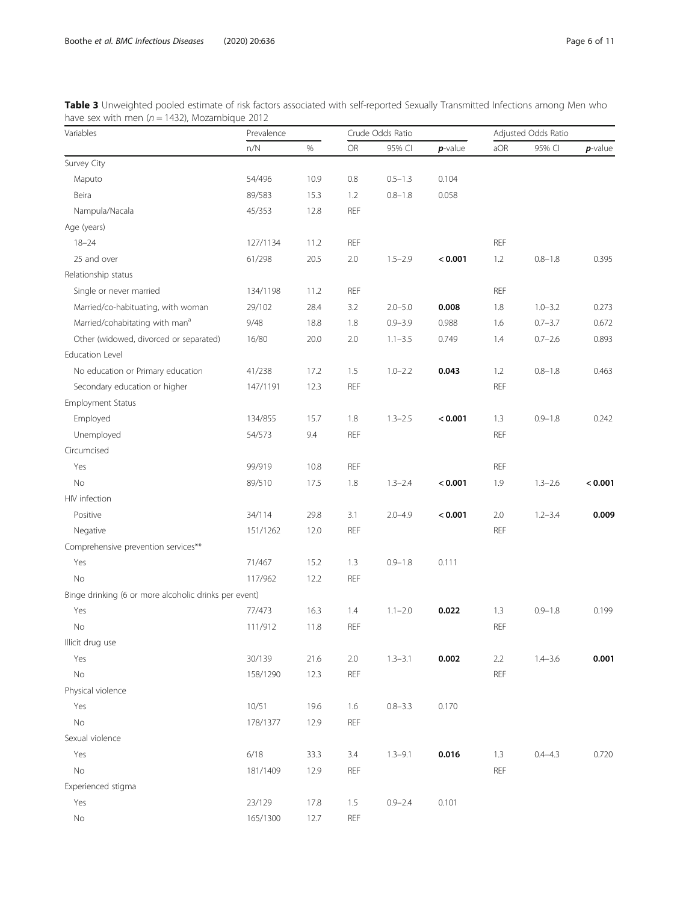<span id="page-5-0"></span>

| Table 3 Unweighted pooled estimate of risk factors associated with self-reported Sexually Transmitted Infections among Men who |  |  |
|--------------------------------------------------------------------------------------------------------------------------------|--|--|
| have sex with men ( $n = 1432$ ), Mozambique 2012                                                                              |  |  |

| Variables                                             | Prevalence |      |            | Crude Odds Ratio |            |            | Adjusted Odds Ratio |            |
|-------------------------------------------------------|------------|------|------------|------------------|------------|------------|---------------------|------------|
|                                                       | $n/N$      | $\%$ | ${\sf OR}$ | 95% CI           | $p$ -value | aOR        | 95% CI              | $p$ -value |
| Survey City                                           |            |      |            |                  |            |            |                     |            |
| Maputo                                                | 54/496     | 10.9 | 0.8        | $0.5 - 1.3$      | 0.104      |            |                     |            |
| Beira                                                 | 89/583     | 15.3 | 1.2        | $0.8 - 1.8$      | 0.058      |            |                     |            |
| Nampula/Nacala                                        | 45/353     | 12.8 | <b>REF</b> |                  |            |            |                     |            |
| Age (years)                                           |            |      |            |                  |            |            |                     |            |
| $18 - 24$                                             | 127/1134   | 11.2 | REF        |                  |            | REF        |                     |            |
| 25 and over                                           | 61/298     | 20.5 | 2.0        | $1.5 - 2.9$      | < 0.001    | 1.2        | $0.8 - 1.8$         | 0.395      |
| Relationship status                                   |            |      |            |                  |            |            |                     |            |
| Single or never married                               | 134/1198   | 11.2 | <b>REF</b> |                  |            | REF        |                     |            |
| Married/co-habituating, with woman                    | 29/102     | 28.4 | 3.2        | $2.0 - 5.0$      | 0.008      | 1.8        | $1.0 - 3.2$         | 0.273      |
| Married/cohabitating with man <sup>a</sup>            | 9/48       | 18.8 | 1.8        | $0.9 - 3.9$      | 0.988      | 1.6        | $0.7 - 3.7$         | 0.672      |
| Other (widowed, divorced or separated)                | 16/80      | 20.0 | 2.0        | $1.1 - 3.5$      | 0.749      | 1.4        | $0.7 - 2.6$         | 0.893      |
| <b>Education Level</b>                                |            |      |            |                  |            |            |                     |            |
| No education or Primary education                     | 41/238     | 17.2 | 1.5        | $1.0 - 2.2$      | 0.043      | 1.2        | $0.8 - 1.8$         | 0.463      |
| Secondary education or higher                         | 147/1191   | 12.3 | <b>REF</b> |                  |            | REF        |                     |            |
| Employment Status                                     |            |      |            |                  |            |            |                     |            |
| Employed                                              | 134/855    | 15.7 | 1.8        | $1.3 - 2.5$      | < 0.001    | 1.3        | $0.9 - 1.8$         | 0.242      |
| Unemployed                                            | 54/573     | 9.4  | <b>REF</b> |                  |            | REF        |                     |            |
| Circumcised                                           |            |      |            |                  |            |            |                     |            |
| Yes                                                   | 99/919     | 10.8 | <b>REF</b> |                  |            | REF        |                     |            |
| No                                                    | 89/510     | 17.5 | $1.8\,$    | $1.3 - 2.4$      | < 0.001    | 1.9        | $1.3 - 2.6$         | < 0.001    |
| HIV infection                                         |            |      |            |                  |            |            |                     |            |
| Positive                                              | 34/114     | 29.8 | 3.1        | $2.0 - 4.9$      | < 0.001    | 2.0        | $1.2 - 3.4$         | 0.009      |
| Negative                                              | 151/1262   | 12.0 | <b>REF</b> |                  |            | REF        |                     |            |
| Comprehensive prevention services**                   |            |      |            |                  |            |            |                     |            |
| Yes                                                   | 71/467     | 15.2 | 1.3        | $0.9 - 1.8$      | 0.111      |            |                     |            |
| No                                                    | 117/962    | 12.2 | <b>REF</b> |                  |            |            |                     |            |
| Binge drinking (6 or more alcoholic drinks per event) |            |      |            |                  |            |            |                     |            |
| Yes                                                   | 77/473     | 16.3 | 1.4        | $1.1 - 2.0$      | 0.022      | 1.3        | $0.9 - 1.8$         | 0.199      |
| $\rm No$                                              | 111/912    | 11.8 | <b>REF</b> |                  |            | <b>REF</b> |                     |            |
| Illicit drug use                                      |            |      |            |                  |            |            |                     |            |
| Yes                                                   | 30/139     | 21.6 | $2.0\,$    | $1.3 - 3.1$      | 0.002      | 2.2        | $1.4 - 3.6$         | 0.001      |
| No                                                    | 158/1290   | 12.3 | REF        |                  |            | REF        |                     |            |
| Physical violence                                     |            |      |            |                  |            |            |                     |            |
| Yes                                                   | 10/51      | 19.6 | 1.6        | $0.8 - 3.3$      | 0.170      |            |                     |            |
| No                                                    | 178/1377   | 12.9 | REF        |                  |            |            |                     |            |
| Sexual violence                                       |            |      |            |                  |            |            |                     |            |
| Yes                                                   | 6/18       | 33.3 | 3.4        | $1.3 - 9.1$      | 0.016      | 1.3        | $0.4 - 4.3$         | 0.720      |
| No                                                    | 181/1409   | 12.9 | <b>REF</b> |                  |            | REF        |                     |            |
| Experienced stigma                                    |            |      |            |                  |            |            |                     |            |
| Yes                                                   | 23/129     | 17.8 | 1.5        | $0.9 - 2.4$      | 0.101      |            |                     |            |
| $\mathsf{No}$                                         | 165/1300   | 12.7 | REF        |                  |            |            |                     |            |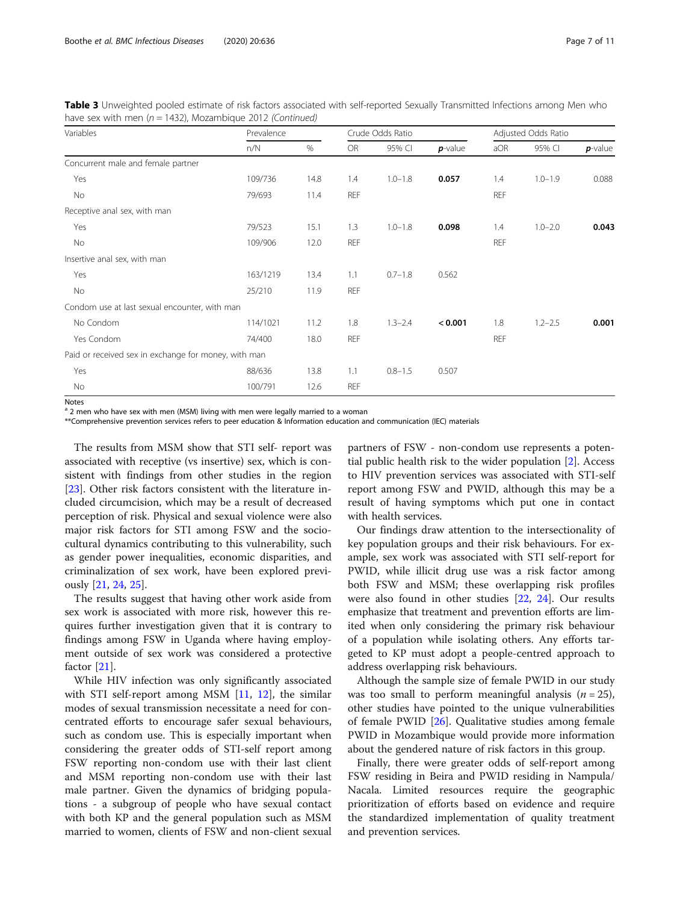|                                                               | Table 3 Unweighted pooled estimate of risk factors associated with self-reported Sexually Transmitted Infections among Men who |  |
|---------------------------------------------------------------|--------------------------------------------------------------------------------------------------------------------------------|--|
| have sex with men ( $n = 1432$ ), Mozambique 2012 (Continued) |                                                                                                                                |  |

| Variables                                            | Prevalence |      |            | Crude Odds Ratio |            |            | Adjusted Odds Ratio |            |
|------------------------------------------------------|------------|------|------------|------------------|------------|------------|---------------------|------------|
|                                                      | n/N        | $\%$ | <b>OR</b>  | 95% CI           | $p$ -value | aOR        | 95% CI              | $p$ -value |
| Concurrent male and female partner                   |            |      |            |                  |            |            |                     |            |
| Yes                                                  | 109/736    | 14.8 | 1.4        | $1.0 - 1.8$      | 0.057      | 1.4        | $1.0 - 1.9$         | 0.088      |
| No                                                   | 79/693     | 11.4 | <b>REF</b> |                  |            | <b>REF</b> |                     |            |
| Receptive anal sex, with man                         |            |      |            |                  |            |            |                     |            |
| Yes                                                  | 79/523     | 15.1 | 1.3        | $1.0 - 1.8$      | 0.098      | 1.4        | $1.0 - 2.0$         | 0.043      |
| No                                                   | 109/906    | 12.0 | <b>REF</b> |                  |            | <b>REF</b> |                     |            |
| Insertive anal sex, with man                         |            |      |            |                  |            |            |                     |            |
| Yes                                                  | 163/1219   | 13.4 | 1.1        | $0.7 - 1.8$      | 0.562      |            |                     |            |
| No                                                   | 25/210     | 11.9 | <b>REF</b> |                  |            |            |                     |            |
| Condom use at last sexual encounter, with man        |            |      |            |                  |            |            |                     |            |
| No Condom                                            | 114/1021   | 11.2 | 1.8        | $1.3 - 2.4$      | < 0.001    | 1.8        | $1.2 - 2.5$         | 0.001      |
| Yes Condom                                           | 74/400     | 18.0 | <b>REF</b> |                  |            | <b>REF</b> |                     |            |
| Paid or received sex in exchange for money, with man |            |      |            |                  |            |            |                     |            |
| Yes                                                  | 88/636     | 13.8 | 1.1        | $0.8 - 1.5$      | 0.507      |            |                     |            |
| No                                                   | 100/791    | 12.6 | <b>REF</b> |                  |            |            |                     |            |

Notes

 $a$  2 men who have sex with men (MSM) living with men were legally married to a woman

\*\*Comprehensive prevention services refers to peer education & Information education and communication (IEC) materials

The results from MSM show that STI self- report was associated with receptive (vs insertive) sex, which is consistent with findings from other studies in the region [[23\]](#page-10-0). Other risk factors consistent with the literature included circumcision, which may be a result of decreased perception of risk. Physical and sexual violence were also major risk factors for STI among FSW and the sociocultural dynamics contributing to this vulnerability, such as gender power inequalities, economic disparities, and criminalization of sex work, have been explored previously [[21,](#page-10-0) [24,](#page-10-0) [25\]](#page-10-0).

The results suggest that having other work aside from sex work is associated with more risk, however this requires further investigation given that it is contrary to findings among FSW in Uganda where having employment outside of sex work was considered a protective factor [\[21](#page-10-0)].

While HIV infection was only significantly associated with STI self-report among MSM [\[11,](#page-10-0) [12](#page-10-0)], the similar modes of sexual transmission necessitate a need for concentrated efforts to encourage safer sexual behaviours, such as condom use. This is especially important when considering the greater odds of STI-self report among FSW reporting non-condom use with their last client and MSM reporting non-condom use with their last male partner. Given the dynamics of bridging populations - a subgroup of people who have sexual contact with both KP and the general population such as MSM married to women, clients of FSW and non-client sexual partners of FSW - non-condom use represents a potential public health risk to the wider population [[2\]](#page-10-0). Access to HIV prevention services was associated with STI-self report among FSW and PWID, although this may be a result of having symptoms which put one in contact with health services.

Our findings draw attention to the intersectionality of key population groups and their risk behaviours. For example, sex work was associated with STI self-report for PWID, while illicit drug use was a risk factor among both FSW and MSM; these overlapping risk profiles were also found in other studies [[22,](#page-10-0) [24](#page-10-0)]. Our results emphasize that treatment and prevention efforts are limited when only considering the primary risk behaviour of a population while isolating others. Any efforts targeted to KP must adopt a people-centred approach to address overlapping risk behaviours.

Although the sample size of female PWID in our study was too small to perform meaningful analysis  $(n = 25)$ , other studies have pointed to the unique vulnerabilities of female PWID [\[26](#page-10-0)]. Qualitative studies among female PWID in Mozambique would provide more information about the gendered nature of risk factors in this group.

Finally, there were greater odds of self-report among FSW residing in Beira and PWID residing in Nampula/ Nacala. Limited resources require the geographic prioritization of efforts based on evidence and require the standardized implementation of quality treatment and prevention services.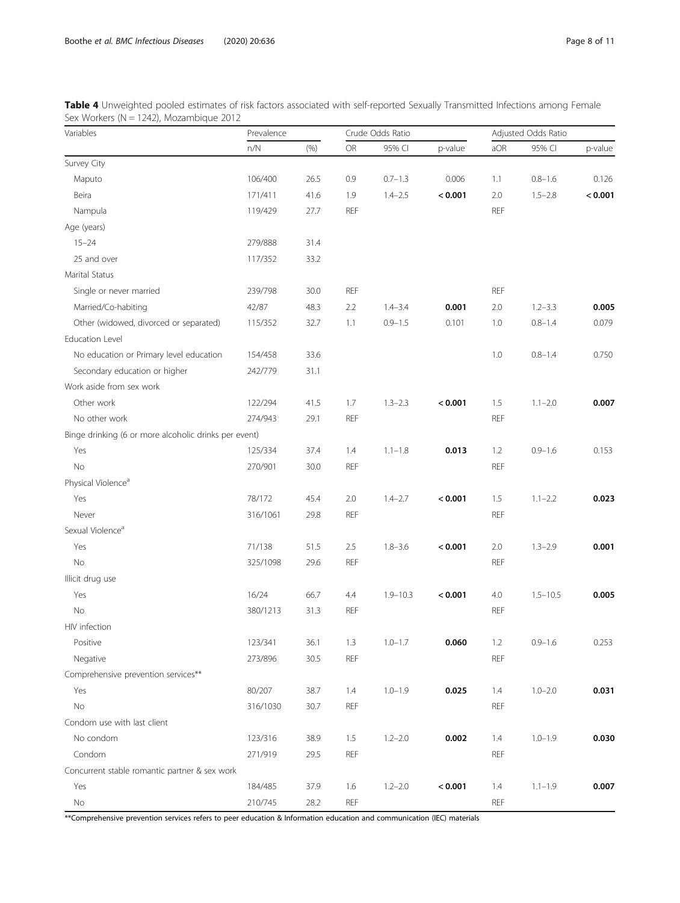<span id="page-7-0"></span>

| Table 4 Unweighted pooled estimates of risk factors associated with self-reported Sexually Transmitted Infections among Female |  |  |
|--------------------------------------------------------------------------------------------------------------------------------|--|--|
| Sex Workers ( $N = 1242$ ), Mozambique 2012                                                                                    |  |  |

| Variables                                             | Prevalence |      |            | Crude Odds Ratio |         |            | Adjusted Odds Ratio |         |
|-------------------------------------------------------|------------|------|------------|------------------|---------|------------|---------------------|---------|
|                                                       | n/N        | (% ) | OR         | 95% CI           | p-value | aOR        | 95% CI              | p-value |
| Survey City                                           |            |      |            |                  |         |            |                     |         |
| Maputo                                                | 106/400    | 26.5 | 0.9        | $0.7 - 1.3$      | 0.006   | 1.1        | $0.8 - 1.6$         | 0.126   |
| Beira                                                 | 171/411    | 41.6 | 1.9        | $1.4 - 2.5$      | < 0.001 | 2.0        | $1.5 - 2.8$         | < 0.001 |
| Nampula                                               | 119/429    | 27.7 | <b>REF</b> |                  |         | REF        |                     |         |
| Age (years)                                           |            |      |            |                  |         |            |                     |         |
| $15 - 24$                                             | 279/888    | 31.4 |            |                  |         |            |                     |         |
| 25 and over                                           | 117/352    | 33.2 |            |                  |         |            |                     |         |
| Marital Status                                        |            |      |            |                  |         |            |                     |         |
| Single or never married                               | 239/798    | 30.0 | <b>REF</b> |                  |         | <b>REF</b> |                     |         |
| Married/Co-habiting                                   | 42/87      | 48.3 | 2.2        | $1.4 - 3.4$      | 0.001   | 2.0        | $1.2 - 3.3$         | 0.005   |
| Other (widowed, divorced or separated)                | 115/352    | 32.7 | 1.1        | $0.9 - 1.5$      | 0.101   | 1.0        | $0.8 - 1.4$         | 0.079   |
| Education Level                                       |            |      |            |                  |         |            |                     |         |
| No education or Primary level education               | 154/458    | 33.6 |            |                  |         | 1.0        | $0.8 - 1.4$         | 0.750   |
| Secondary education or higher                         | 242/779    | 31.1 |            |                  |         |            |                     |         |
| Work aside from sex work                              |            |      |            |                  |         |            |                     |         |
| Other work                                            | 122/294    | 41.5 | 1.7        | $1.3 - 2.3$      | < 0.001 | 1.5        | $1.1 - 2.0$         | 0.007   |
| No other work                                         | 274/943    | 29.1 | <b>REF</b> |                  |         | REF        |                     |         |
| Binge drinking (6 or more alcoholic drinks per event) |            |      |            |                  |         |            |                     |         |
| Yes                                                   | 125/334    | 37.4 | 1.4        | $1.1 - 1.8$      | 0.013   | 1.2        | $0.9 - 1.6$         | 0.153   |
| No                                                    | 270/901    | 30.0 | <b>REF</b> |                  |         | <b>REF</b> |                     |         |
| Physical Violence <sup>a</sup>                        |            |      |            |                  |         |            |                     |         |
| Yes                                                   | 78/172     | 45.4 | 2.0        | $1.4 - 2.7$      | < 0.001 | 1.5        | $1.1 - 2.2$         | 0.023   |
| Never                                                 | 316/1061   | 29.8 | <b>REF</b> |                  |         | REF        |                     |         |
| Sexual Violence <sup>a</sup>                          |            |      |            |                  |         |            |                     |         |
| Yes                                                   | 71/138     | 51.5 | 2.5        | $1.8 - 3.6$      | < 0.001 | 2.0        | $1.3 - 2.9$         | 0.001   |
| No                                                    | 325/1098   | 29.6 | <b>REF</b> |                  |         | <b>REF</b> |                     |         |
| Illicit drug use                                      |            |      |            |                  |         |            |                     |         |
| Yes                                                   | 16/24      | 66.7 | 4.4        | $1.9 - 10.3$     | < 0.001 | 4.0        | $1.5 - 10.5$        | 0.005   |
| No                                                    | 380/1213   | 31.3 | <b>REF</b> |                  |         | REF        |                     |         |
| HIV infection                                         |            |      |            |                  |         |            |                     |         |
| Positive                                              | 123/341    | 36.1 | $1.3\,$    | $1.0 - 1.7$      | 0.060   | $1.2\,$    | $0.9 - 1.6$         | 0.253   |
| Negative                                              | 273/896    | 30.5 | <b>REF</b> |                  |         | REF        |                     |         |
| Comprehensive prevention services**                   |            |      |            |                  |         |            |                     |         |
| Yes                                                   | 80/207     | 38.7 | 1.4        | $1.0 - 1.9$      | 0.025   | 1.4        | $1.0 - 2.0$         | 0.031   |
| No                                                    | 316/1030   | 30.7 | REF        |                  |         | <b>REF</b> |                     |         |
| Condom use with last client                           |            |      |            |                  |         |            |                     |         |
| No condom                                             | 123/316    | 38.9 | 1.5        | $1.2 - 2.0$      | 0.002   | 1.4        | $1.0 - 1.9$         | 0.030   |
| Condom                                                | 271/919    | 29.5 | <b>REF</b> |                  |         | REF        |                     |         |
| Concurrent stable romantic partner & sex work         |            |      |            |                  |         |            |                     |         |
| Yes                                                   | 184/485    | 37.9 | 1.6        | $1.2 - 2.0$      | < 0.001 | 1.4        | $1.1 - 1.9$         | 0.007   |
| $\rm No$                                              | 210/745    | 28.2 | REF        |                  |         | <b>REF</b> |                     |         |

\*\*Comprehensive prevention services refers to peer education & Information education and communication (IEC) materials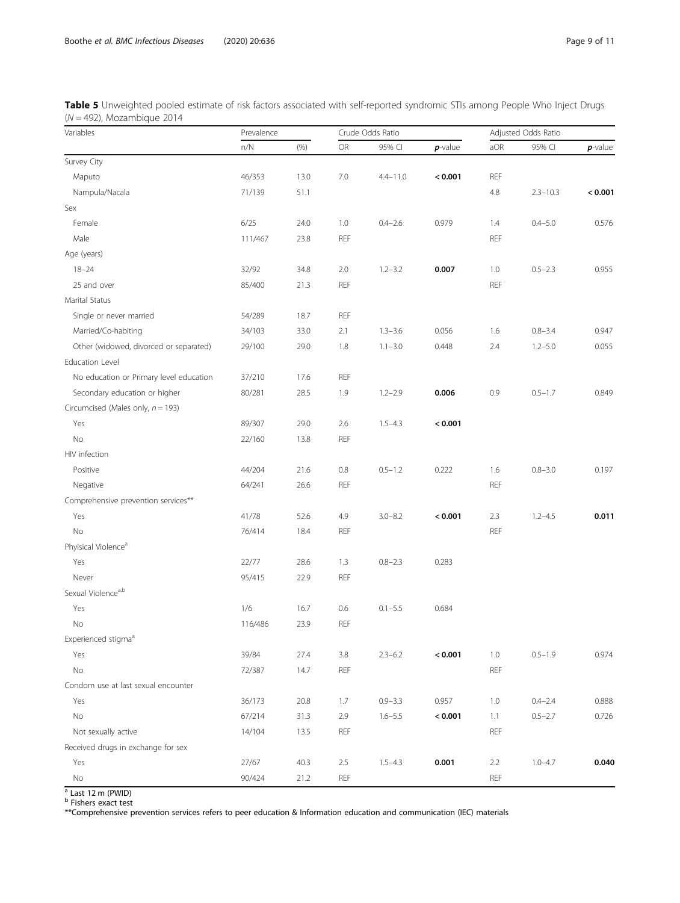<span id="page-8-0"></span>

| Table 5 Unweighted pooled estimate of risk factors associated with self-reported syndromic STIs among People Who Inject Drugs |  |  |  |  |
|-------------------------------------------------------------------------------------------------------------------------------|--|--|--|--|
| $(N = 492)$ , Mozambique 2014                                                                                                 |  |  |  |  |

| Variables                               | Prevalence |      |            | Crude Odds Ratio |            | Adjusted Odds Ratio |              |            |
|-----------------------------------------|------------|------|------------|------------------|------------|---------------------|--------------|------------|
|                                         | n/N        | (% ) | OR         | 95% CI           | $p$ -value | aOR                 | 95% CI       | $p$ -value |
| Survey City                             |            |      |            |                  |            |                     |              |            |
| Maputo                                  | 46/353     | 13.0 | 7.0        | $4.4 - 11.0$     | < 0.001    | REF                 |              |            |
| Nampula/Nacala                          | 71/139     | 51.1 |            |                  |            | 4.8                 | $2.3 - 10.3$ | < 0.001    |
| Sex                                     |            |      |            |                  |            |                     |              |            |
| Female                                  | 6/25       | 24.0 | 1.0        | $0.4 - 2.6$      | 0.979      | 1.4                 | $0.4 - 5.0$  | 0.576      |
| Male                                    | 111/467    | 23.8 | <b>REF</b> |                  |            | <b>REF</b>          |              |            |
| Age (years)                             |            |      |            |                  |            |                     |              |            |
| $18 - 24$                               | 32/92      | 34.8 | 2.0        | $1.2 - 3.2$      | 0.007      | 1.0                 | $0.5 - 2.3$  | 0.955      |
| 25 and over                             | 85/400     | 21.3 | REF        |                  |            | <b>REF</b>          |              |            |
| Marital Status                          |            |      |            |                  |            |                     |              |            |
| Single or never married                 | 54/289     | 18.7 | REF        |                  |            |                     |              |            |
| Married/Co-habiting                     | 34/103     | 33.0 | 2.1        | $1.3 - 3.6$      | 0.056      | 1.6                 | $0.8 - 3.4$  | 0.947      |
| Other (widowed, divorced or separated)  | 29/100     | 29.0 | 1.8        | $1.1 - 3.0$      | 0.448      | 2.4                 | $1.2 - 5.0$  | 0.055      |
| Education Level                         |            |      |            |                  |            |                     |              |            |
| No education or Primary level education | 37/210     | 17.6 | REF        |                  |            |                     |              |            |
| Secondary education or higher           | 80/281     | 28.5 | 1.9        | $1.2 - 2.9$      | 0.006      | 0.9                 | $0.5 - 1.7$  | 0.849      |
| Circumcised (Males only, $n = 193$ )    |            |      |            |                  |            |                     |              |            |
| Yes                                     | 89/307     | 29.0 | 2.6        | $1.5 - 4.3$      | < 0.001    |                     |              |            |
| No                                      | 22/160     | 13.8 | <b>REF</b> |                  |            |                     |              |            |
| HIV infection                           |            |      |            |                  |            |                     |              |            |
| Positive                                | 44/204     | 21.6 | $0.8\,$    | $0.5 - 1.2$      | 0.222      | 1.6                 | $0.8 - 3.0$  | 0.197      |
| Negative                                | 64/241     | 26.6 | <b>REF</b> |                  |            | <b>REF</b>          |              |            |
| Comprehensive prevention services**     |            |      |            |                  |            |                     |              |            |
| Yes                                     | 41/78      | 52.6 | 4.9        | $3.0 - 8.2$      | < 0.001    | 2.3                 | $1.2 - 4.5$  | 0.011      |
| No                                      | 76/414     | 18.4 | <b>REF</b> |                  |            | <b>REF</b>          |              |            |
| Phyisical Violence <sup>a</sup>         |            |      |            |                  |            |                     |              |            |
| Yes                                     | 22/77      | 28.6 | 1.3        | $0.8 - 2.3$      | 0.283      |                     |              |            |
| Never                                   | 95/415     | 22.9 | REF        |                  |            |                     |              |            |
| Sexual Violence <sup>a,b</sup>          |            |      |            |                  |            |                     |              |            |
| Yes                                     | 1/6        | 16.7 | 0.6        | $0.1 - 5.5$      | 0.684      |                     |              |            |
| No                                      | 116/486    | 23.9 | REF        |                  |            |                     |              |            |
| Experienced stigma <sup>a</sup>         |            |      |            |                  |            |                     |              |            |
| Yes                                     | 39/84      | 27.4 | 3.8        | $2.3 - 6.2$      | < 0.001    | 1.0                 | $0.5 - 1.9$  | 0.974      |
| No                                      | 72/387     | 14.7 | REF        |                  |            | REF                 |              |            |
| Condom use at last sexual encounter     |            |      |            |                  |            |                     |              |            |
| Yes                                     | 36/173     | 20.8 | 1.7        | $0.9 - 3.3$      | 0.957      | 1.0                 | $0.4 - 2.4$  | 0.888      |
| No                                      | 67/214     | 31.3 | 2.9        | $1.6 - 5.5$      | < 0.001    | 1.1                 | $0.5 - 2.7$  | 0.726      |
| Not sexually active                     | 14/104     | 13.5 | REF        |                  |            | REF                 |              |            |
| Received drugs in exchange for sex      |            |      |            |                  |            |                     |              |            |
| Yes                                     | 27/67      | 40.3 | 2.5        | $1.5 - 4.3$      | 0.001      | 2.2                 | $1.0 - 4.7$  | 0.040      |
| No                                      | 90/424     | 21.2 | <b>REF</b> |                  |            | REF                 |              |            |

<sup>a</sup> Last 12 m (PWID) **b** Fishers exact test

\*\*Comprehensive prevention services refers to peer education & Information education and communication (IEC) materials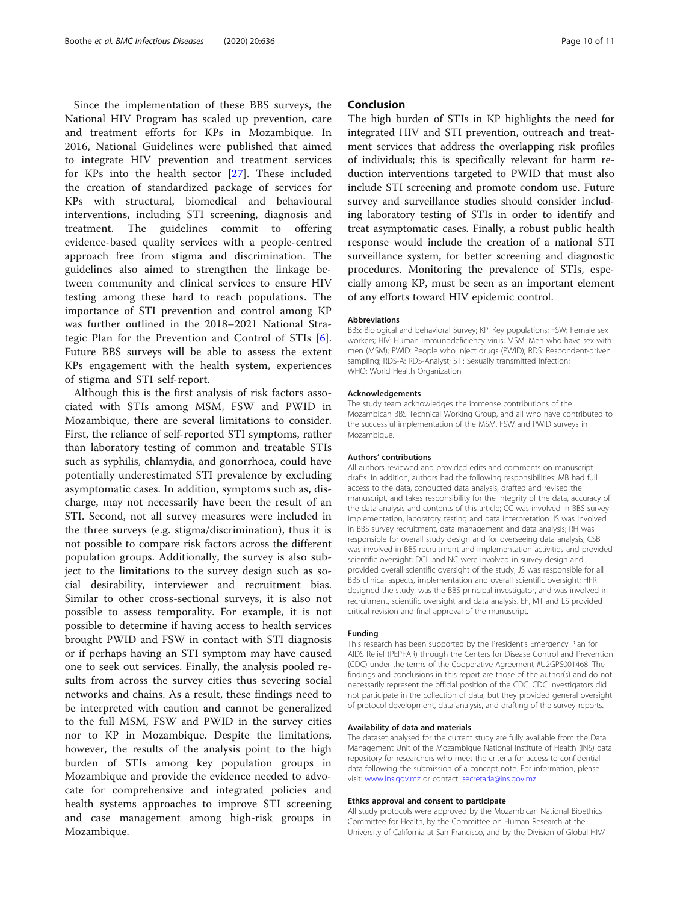Since the implementation of these BBS surveys, the National HIV Program has scaled up prevention, care and treatment efforts for KPs in Mozambique. In 2016, National Guidelines were published that aimed to integrate HIV prevention and treatment services for KPs into the health sector [[27\]](#page-10-0). These included the creation of standardized package of services for KPs with structural, biomedical and behavioural interventions, including STI screening, diagnosis and treatment. The guidelines commit to offering evidence-based quality services with a people-centred approach free from stigma and discrimination. The guidelines also aimed to strengthen the linkage between community and clinical services to ensure HIV testing among these hard to reach populations. The importance of STI prevention and control among KP was further outlined in the 2018–2021 National Strategic Plan for the Prevention and Control of STIs [\[6](#page-10-0)]. Future BBS surveys will be able to assess the extent KPs engagement with the health system, experiences of stigma and STI self-report.

Although this is the first analysis of risk factors associated with STIs among MSM, FSW and PWID in Mozambique, there are several limitations to consider. First, the reliance of self-reported STI symptoms, rather than laboratory testing of common and treatable STIs such as syphilis, chlamydia, and gonorrhoea, could have potentially underestimated STI prevalence by excluding asymptomatic cases. In addition, symptoms such as, discharge, may not necessarily have been the result of an STI. Second, not all survey measures were included in the three surveys (e.g. stigma/discrimination), thus it is not possible to compare risk factors across the different population groups. Additionally, the survey is also subject to the limitations to the survey design such as social desirability, interviewer and recruitment bias. Similar to other cross-sectional surveys, it is also not possible to assess temporality. For example, it is not possible to determine if having access to health services brought PWID and FSW in contact with STI diagnosis or if perhaps having an STI symptom may have caused one to seek out services. Finally, the analysis pooled results from across the survey cities thus severing social networks and chains. As a result, these findings need to be interpreted with caution and cannot be generalized to the full MSM, FSW and PWID in the survey cities nor to KP in Mozambique. Despite the limitations, however, the results of the analysis point to the high burden of STIs among key population groups in Mozambique and provide the evidence needed to advocate for comprehensive and integrated policies and health systems approaches to improve STI screening and case management among high-risk groups in Mozambique.

# Conclusion

The high burden of STIs in KP highlights the need for integrated HIV and STI prevention, outreach and treatment services that address the overlapping risk profiles of individuals; this is specifically relevant for harm reduction interventions targeted to PWID that must also include STI screening and promote condom use. Future survey and surveillance studies should consider including laboratory testing of STIs in order to identify and treat asymptomatic cases. Finally, a robust public health response would include the creation of a national STI surveillance system, for better screening and diagnostic procedures. Monitoring the prevalence of STIs, especially among KP, must be seen as an important element of any efforts toward HIV epidemic control.

#### Abbreviations

BBS: Biological and behavioral Survey; KP: Key populations; FSW: Female sex workers; HIV: Human immunodeficiency virus; MSM: Men who have sex with men (MSM); PWID: People who inject drugs (PWID); RDS: Respondent-driven sampling; RDS-A: RDS-Analyst; STI: Sexually transmitted Infection; WHO: World Health Organization

#### Acknowledgements

The study team acknowledges the immense contributions of the Mozambican BBS Technical Working Group, and all who have contributed to the successful implementation of the MSM, FSW and PWID surveys in Mozambique.

#### Authors' contributions

All authors reviewed and provided edits and comments on manuscript drafts. In addition, authors had the following responsibilities: MB had full access to the data, conducted data analysis, drafted and revised the manuscript, and takes responsibility for the integrity of the data, accuracy of the data analysis and contents of this article; CC was involved in BBS survey implementation, laboratory testing and data interpretation. IS was involved in BBS survey recruitment, data management and data analysis; RH was responsible for overall study design and for overseeing data analysis; CSB was involved in BBS recruitment and implementation activities and provided scientific oversight; DCL and NC were involved in survey design and provided overall scientific oversight of the study; JS was responsible for all BBS clinical aspects, implementation and overall scientific oversight; HFR designed the study, was the BBS principal investigator, and was involved in recruitment, scientific oversight and data analysis. EF, MT and LS provided critical revision and final approval of the manuscript.

#### Funding

This research has been supported by the President's Emergency Plan for AIDS Relief (PEPFAR) through the Centers for Disease Control and Prevention (CDC) under the terms of the Cooperative Agreement #U2GPS001468. The findings and conclusions in this report are those of the author(s) and do not necessarily represent the official position of the CDC. CDC investigators did not participate in the collection of data, but they provided general oversight of protocol development, data analysis, and drafting of the survey reports.

#### Availability of data and materials

The dataset analysed for the current study are fully available from the Data Management Unit of the Mozambique National Institute of Health (INS) data repository for researchers who meet the criteria for access to confidential data following the submission of a concept note. For information, please visit: [www.ins.gov.mz](http://www.ins.gov.mz) or contact: [secretaria@ins.gov.mz.](mailto:secretaria@ins.gov.mz)

#### Ethics approval and consent to participate

All study protocols were approved by the Mozambican National Bioethics Committee for Health, by the Committee on Human Research at the University of California at San Francisco, and by the Division of Global HIV/